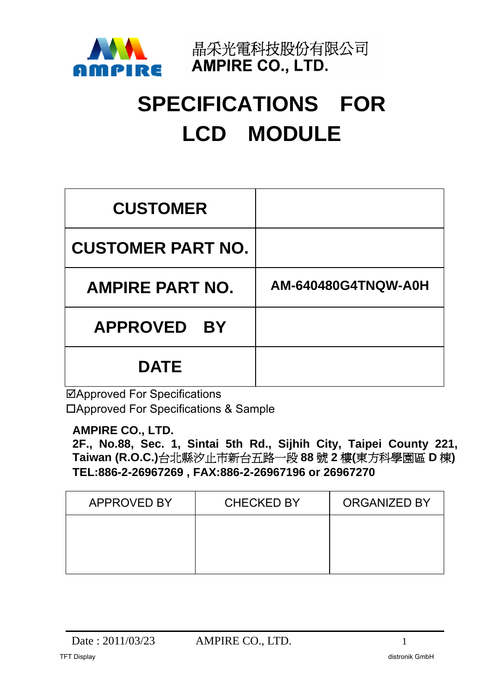

晶采光電科技股份有限公司 **AMPIRE CO., LTD.** 

# **SPECIFICATIONS FOR LCD MODULE**

| <b>CUSTOMER</b>          |                     |
|--------------------------|---------------------|
| <b>CUSTOMER PART NO.</b> |                     |
| <b>AMPIRE PART NO.</b>   | AM-640480G4TNQW-A0H |
| APPROVED BY              |                     |
| <b>DATE</b>              |                     |

Approved For Specifications Approved For Specifications & Sample

## **AMPIRE CO., LTD.**

**2F., No.88, Sec. 1, Sintai 5th Rd., Sijhih City, Taipei County 221, Taiwan (R.O.C.)**台北縣汐止市新台五路一段 **88** 號 **2** 樓**(**東方科學園區 **D** 棟**) TEL:886-2-26967269 , FAX:886-2-26967196 or 26967270**

| <b>APPROVED BY</b> | <b>CHECKED BY</b> | <b>ORGANIZED BY</b> |
|--------------------|-------------------|---------------------|
|                    |                   |                     |
|                    |                   |                     |
|                    |                   |                     |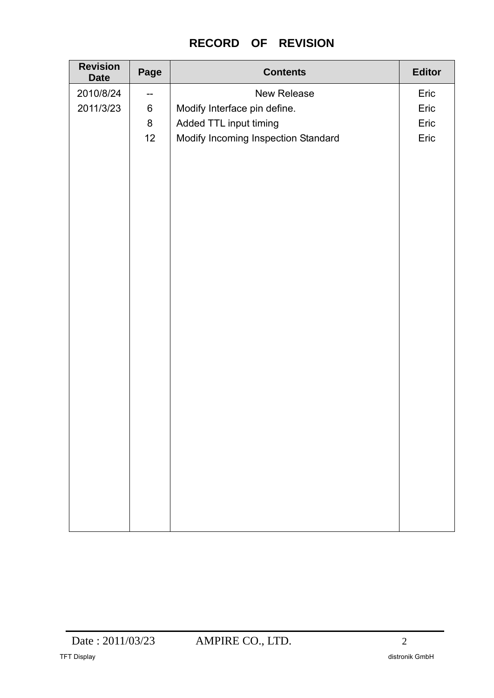# **RECORD OF REVISION**

| <b>Revision</b><br><b>Date</b> | Page                                  | <b>Contents</b>                     | <b>Editor</b> |
|--------------------------------|---------------------------------------|-------------------------------------|---------------|
| 2010/8/24                      | $\hspace{0.05cm}$ – $\hspace{0.05cm}$ | New Release                         | Eric          |
| 2011/3/23                      | $\,6\,$                               | Modify Interface pin define.        | Eric          |
|                                | $\bf 8$                               | Added TTL input timing              | Eric          |
|                                | 12                                    | Modify Incoming Inspection Standard | Eric          |
|                                |                                       |                                     |               |
|                                |                                       |                                     |               |
|                                |                                       |                                     |               |
|                                |                                       |                                     |               |
|                                |                                       |                                     |               |
|                                |                                       |                                     |               |
|                                |                                       |                                     |               |
|                                |                                       |                                     |               |
|                                |                                       |                                     |               |
|                                |                                       |                                     |               |
|                                |                                       |                                     |               |
|                                |                                       |                                     |               |
|                                |                                       |                                     |               |
|                                |                                       |                                     |               |
|                                |                                       |                                     |               |
|                                |                                       |                                     |               |
|                                |                                       |                                     |               |
|                                |                                       |                                     |               |
|                                |                                       |                                     |               |
|                                |                                       |                                     |               |
|                                |                                       |                                     |               |
|                                |                                       |                                     |               |
|                                |                                       |                                     |               |
|                                |                                       |                                     |               |
|                                |                                       |                                     |               |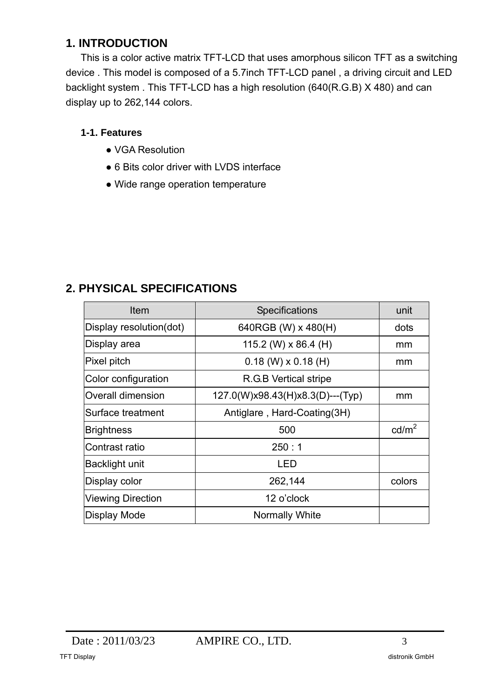## **1. INTRODUCTION**

This is a color active matrix TFT-LCD that uses amorphous silicon TFT as a switching device . This model is composed of a 5.7inch TFT-LCD panel , a driving circuit and LED backlight system . This TFT-LCD has a high resolution (640(R.G.B) X 480) and can display up to 262,144 colors.

## **1-1. Features**

- VGA Resolution
- 6 Bits color driver with LVDS interface
- Wide range operation temperature

## **2. PHYSICAL SPECIFICATIONS**

| Item                     | Specifications                   | unit            |
|--------------------------|----------------------------------|-----------------|
| Display resolution(dot)  | 640RGB (W) x 480(H)              | dots            |
| Display area             | 115.2 (W) $\times$ 86.4 (H)      | mm              |
| Pixel pitch              | $0.18$ (W) $\times$ 0.18 (H)     | mm              |
| Color configuration      | R.G.B Vertical stripe            |                 |
| <b>Overall dimension</b> | 127.0(W)x98.43(H)x8.3(D)---(Typ) | mm              |
| Surface treatment        | Antiglare, Hard-Coating(3H)      |                 |
| <b>Brightness</b>        | 500                              | $\text{cd/m}^2$ |
| Contrast ratio           | 250:1                            |                 |
| Backlight unit           | LED                              |                 |
| Display color            | 262,144                          | colors          |
| <b>Viewing Direction</b> | 12 o'clock                       |                 |
| Display Mode             | <b>Normally White</b>            |                 |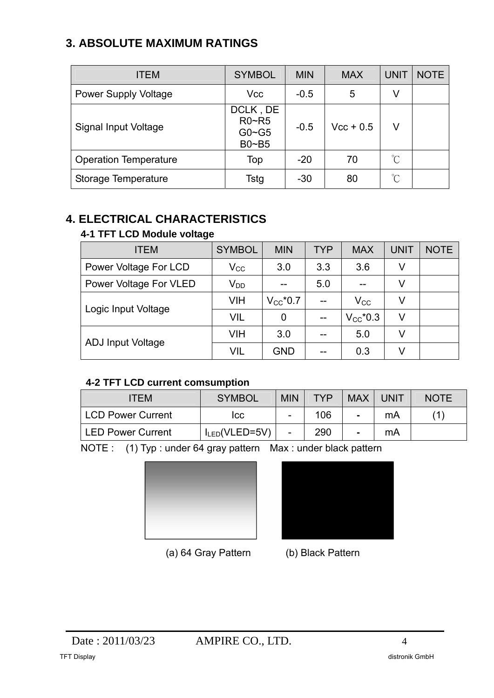# **3. ABSOLUTE MAXIMUM RATINGS**

| <b>ITEM</b>                  | <b>SYMBOL</b>                                  | <b>MIN</b> | <b>MAX</b>  | <b>UNIT</b> | <b>NOTE</b> |
|------------------------------|------------------------------------------------|------------|-------------|-------------|-------------|
| <b>Power Supply Voltage</b>  | <b>Vcc</b>                                     | $-0.5$     | 5           | V           |             |
| Signal Input Voltage         | DCLK, DE<br>$R0 - R5$<br>$G0 \sim G5$<br>B0~B5 | $-0.5$     | $Vcc + 0.5$ | V           |             |
| <b>Operation Temperature</b> | Top                                            | $-20$      | 70          | °C          |             |
| Storage Temperature          | Tstg                                           | $-30$      | 80          | °C          |             |

# **4. ELECTRICAL CHARACTERISTICS**

## **4-1 TFT LCD Module voltage**

| <b>ITEM</b>              | <b>SYMBOL</b> | <b>MIN</b>    | <b>TYP</b> | <b>MAX</b>    | <b>UNIT</b> | <b>NOTE</b> |
|--------------------------|---------------|---------------|------------|---------------|-------------|-------------|
| Power Voltage For LCD    | $\rm V_{CC}$  | 3.0           | 3.3        | 3.6           | V           |             |
| Power Voltage For VLED   | $V_{DD}$      |               | 5.0        |               | V           |             |
|                          | VIH           | $V_{CC}$ *0.7 |            | $\rm V_{CC}$  |             |             |
| Logic Input Voltage      | VIL           | 0             |            | $V_{CC}$ *0.3 | V           |             |
|                          | VIH           | 3.0           |            | 5.0           | V           |             |
| <b>ADJ Input Voltage</b> | VIL           | <b>GND</b>    |            | 0.3           |             |             |

## **4-2 TFT LCD current comsumption**

| <b>ITEM</b>              | <b>SYMBOL</b>       | <b>MIN</b>               | <b>TYP</b> | <b>MAX</b>     | <b>UNIT</b> | <b>NOTE</b> |
|--------------------------|---------------------|--------------------------|------------|----------------|-------------|-------------|
| <b>LCD Power Current</b> | ICC                 | $\qquad \qquad$          | 106        | $\blacksquare$ | mA          |             |
| <b>LED Power Current</b> | $I_{LED}$ (VLED=5V) | $\overline{\phantom{a}}$ | 290        | $\blacksquare$ | mA          |             |

NOTE : (1) Typ : under 64 gray pattern Max : under black pattern





(a) 64 Gray Pattern (b) Black Pattern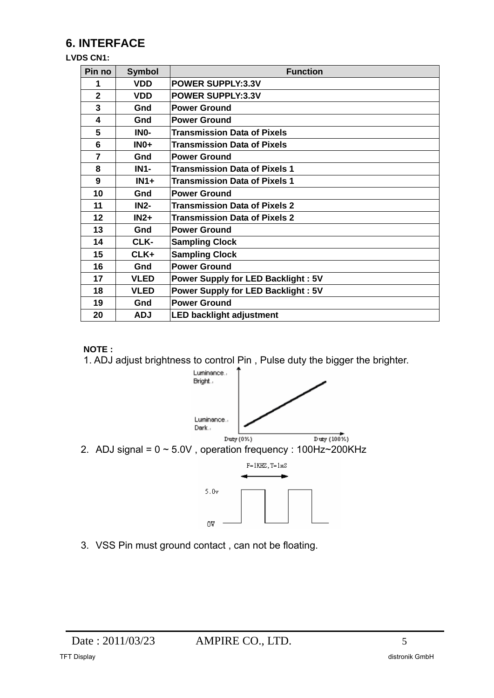# **6. INTERFACE**

#### **LVDS CN1:**

| Pin no         | <b>Symbol</b> | <b>Function</b>                           |
|----------------|---------------|-------------------------------------------|
| 1              | <b>VDD</b>    | <b>POWER SUPPLY:3.3V</b>                  |
| $\overline{2}$ | <b>VDD</b>    | <b>POWER SUPPLY:3.3V</b>                  |
| 3              | Gnd           | <b>Power Ground</b>                       |
| 4              | Gnd           | <b>Power Ground</b>                       |
| 5              | INO-          | <b>Transmission Data of Pixels</b>        |
| 6              | $INO+$        | <b>Transmission Data of Pixels</b>        |
| 7              | Gnd           | <b>Power Ground</b>                       |
| 8              | <b>IN1-</b>   | <b>Transmission Data of Pixels 1</b>      |
| 9              | $IN1+$        | <b>Transmission Data of Pixels 1</b>      |
| 10             | Gnd           | <b>Power Ground</b>                       |
| 11             | <b>IN2-</b>   | <b>Transmission Data of Pixels 2</b>      |
| 12             | $IN2+$        | <b>Transmission Data of Pixels 2</b>      |
| 13             | Gnd           | <b>Power Ground</b>                       |
| 14             | CLK-          | <b>Sampling Clock</b>                     |
| 15             | $CLK+$        | <b>Sampling Clock</b>                     |
| 16             | Gnd           | <b>Power Ground</b>                       |
| 17             | <b>VLED</b>   | <b>Power Supply for LED Backlight: 5V</b> |
| 18             | <b>VLED</b>   | Power Supply for LED Backlight: 5V        |
| 19             | Gnd           | <b>Power Ground</b>                       |
| 20             | <b>ADJ</b>    | <b>LED backlight adjustment</b>           |

#### **NOTE :**

1. ADJ adjust brightness to control Pin , Pulse duty the bigger the brighter.



3. VSS Pin must ground contact , can not be floating.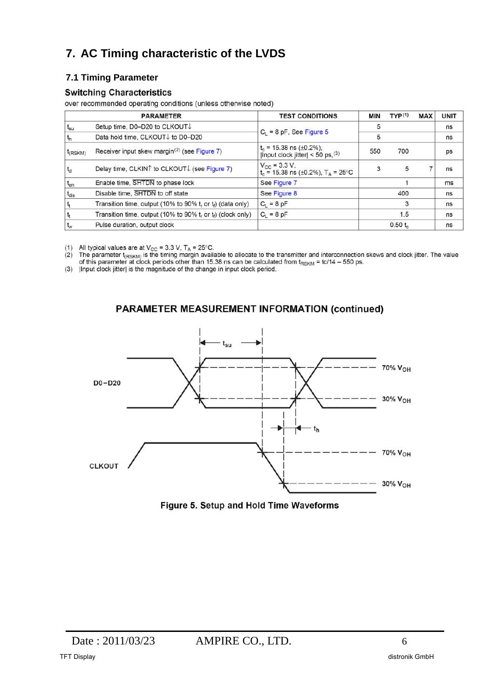# **7. AC Timing characteristic of the LVDS**

## **7.1 Timing Parameter**

#### **Switching Characteristics**

over recommended operating conditions (unless otherwise noted)

|              | <b>PARAMETER</b>                                                  | <b>TEST CONDITIONS</b>                                                                  | <b>MIN</b> | TYP <sup>(1)</sup> | <b>MAX</b> | <b>UNIT</b> |
|--------------|-------------------------------------------------------------------|-----------------------------------------------------------------------------------------|------------|--------------------|------------|-------------|
| $t_{\rm su}$ | Setup time, D0-D20 to CLKOUT↓                                     |                                                                                         | 5          |                    |            | ns          |
|              | Data hold time, CLKOUT↓ to D0-D20                                 | $C_1 = 8$ pF, See Figure 5                                                              | 5          |                    |            | ns          |
| $t_{(RSKM)}$ | Receiver input skew margin <sup>(2)</sup> (see Figure 7)          | $t_c$ = 15.38 ns ( $\pm$ 0.2%),<br> Input clock jitter  < 50 ps, $(3)$                  | 550        | 700                |            | ps          |
| $t_d$        | Delay time, CLKIN↑ to CLKOUT↓ (see Figure 7)                      | $V_{\rm CC}$ = 3.3 V,<br>t <sub>c</sub> = 15.38 ns ( $\pm$ 0.2%), T <sub>A</sub> = 25°C | 3          | 5                  |            | ns          |
| $t_{en}$     | Enable time, SHTDN to phase lock                                  | See Figure 7                                                                            |            |                    |            | ms          |
| $t_{dis}$    | Disable time, SHTDN to off state                                  | See Figure 8                                                                            |            | 400                |            | ns          |
|              | Transition time, output (10% to 90% $t_r$ or $t_f$ ) (data only)  | $C_1 = 8$ pF                                                                            |            | 3                  |            | ns          |
|              | Transition time, output (10% to 90% $t_r$ or $t_f$ ) (clock only) | $C_1 = 8$ pF                                                                            |            | 1.5                |            | ns          |
| $t_{w}$      | Pulse duration, output clock                                      |                                                                                         |            | 0.50 t             |            | ns          |

(1) All typical values are at  $V_{CC} = 3.3$  V,  $T_A = 25^{\circ}C$ .<br>
(2) The parameter  $t_{(RSKM)}$  is the timing margin available to allocate to the transmitter and interconnection skews and clock jitter. The value<br>
of this paramete

#### **PARAMETER MEASUREMENT INFORMATION (continued)**



Figure 5. Setup and Hold Time Waveforms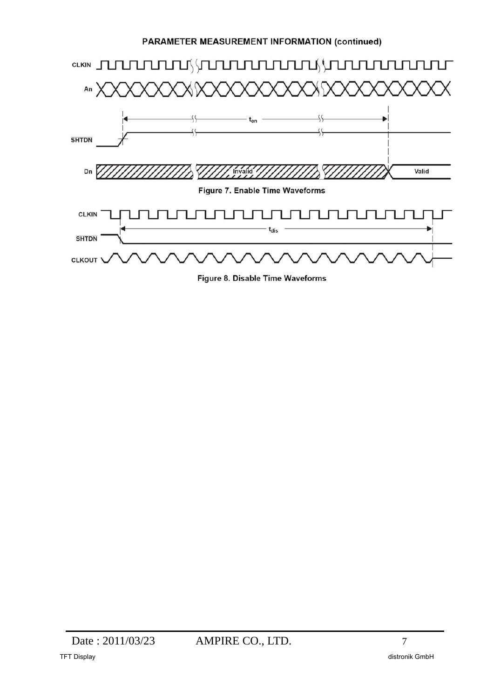#### **PARAMETER MEASUREMENT INFORMATION (continued)**



Figure 8. Disable Time Waveforms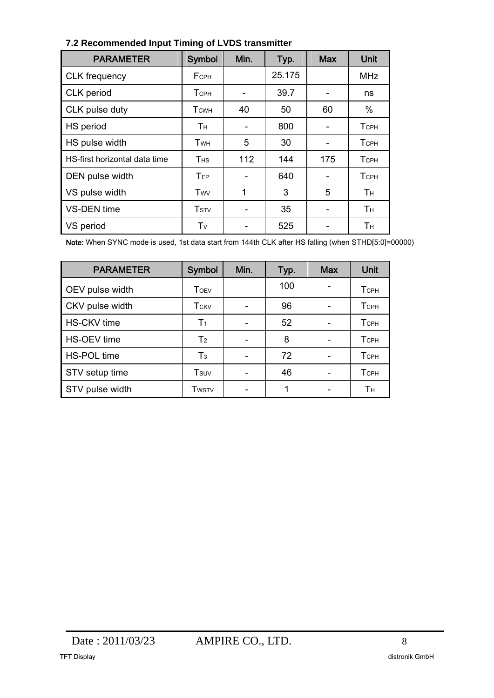| <b>PARAMETER</b>              | Symbol                  | Min. | Typ.   | <b>Max</b>               | Unit        |
|-------------------------------|-------------------------|------|--------|--------------------------|-------------|
| <b>CLK</b> frequency          | <b>FCPH</b>             |      | 25.175 |                          | <b>MHz</b>  |
| CLK period                    | Тсрн                    |      | 39.7   | -                        | ns          |
| CLK pulse duty                | <b>T</b> <sub>CWH</sub> | 40   | 50     | 60                       | %           |
| HS period                     | Тн                      |      | 800    |                          | <b>TCPH</b> |
| HS pulse width                | Twн                     | 5    | 30     | $\overline{\phantom{a}}$ | <b>TCPH</b> |
| HS-first horizontal data time | <b>T</b> <sub>HS</sub>  | 112  | 144    | 175                      | <b>TCPH</b> |
| DEN pulse width               | TEP                     |      | 640    |                          | <b>TCPH</b> |
| VS pulse width                | Twv                     | 1    | 3      | 5                        | Tн          |
| <b>VS-DEN</b> time            | <b>T</b> <sub>STV</sub> |      | 35     |                          | Tн          |
| VS period                     | Tv                      |      | 525    |                          | Tн          |

#### **7.2 Recommended Input Timing of LVDS transmitter**

Note: When SYNC mode is used, 1st data start from 144th CLK after HS falling (when STHD[5:0]=00000)

| <b>PARAMETER</b>   | Symbol                  | Min. | Typ. | <b>Max</b> | Unit        |
|--------------------|-------------------------|------|------|------------|-------------|
| OEV pulse width    | <b>T</b> OEV            |      | 100  |            | <b>TCPH</b> |
| CKV pulse width    | <b>T</b> <sub>CKV</sub> |      | 96   |            | <b>TCPH</b> |
| <b>HS-CKV</b> time | T <sub>1</sub>          |      | 52   |            | <b>TCPH</b> |
| HS-OEV time        | T <sub>2</sub>          |      | 8    |            | <b>TCPH</b> |
| <b>HS-POL time</b> | $T_3$                   |      | 72   |            | <b>TCPH</b> |
| STV setup time     | Tsuv                    |      | 46   |            | <b>TCPH</b> |
| STV pulse width    | <b>T</b> wstv           |      |      |            | Tн          |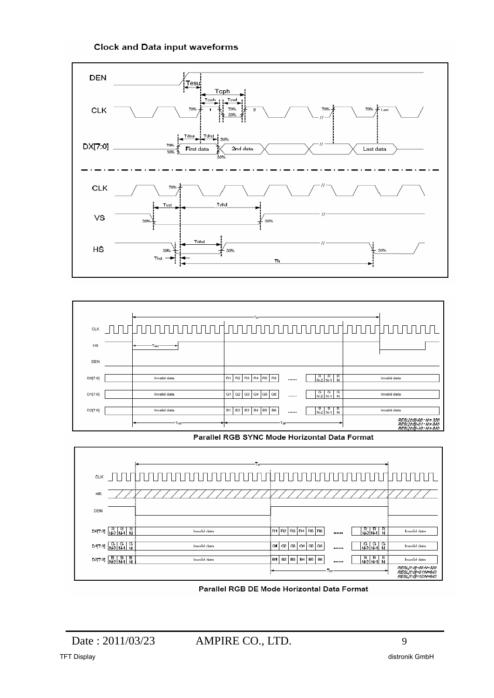#### **Clock and Data input waveforms**





Parallel RGB SYNC Mode Horizontal Data Format



Parallel RGB DE Mode Horizontal Data Format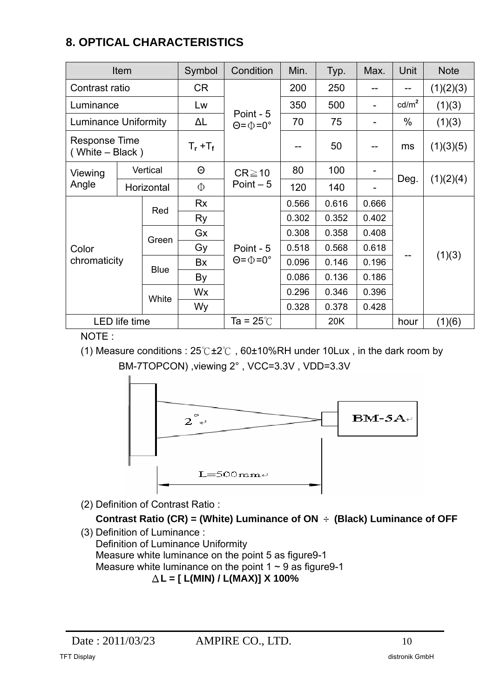# **8. OPTICAL CHARACTERISTICS**

| Item                                    |                      | Symbol      | Condition         | Min.                                     | Typ.  | Max.  | Unit                     | <b>Note</b>     |           |
|-----------------------------------------|----------------------|-------------|-------------------|------------------------------------------|-------|-------|--------------------------|-----------------|-----------|
| Contrast ratio                          |                      | CR          |                   | 200                                      | 250   | --    | --                       | (1)(2)(3)       |           |
| Luminance                               |                      |             | Lw                |                                          | 350   | 500   | $\overline{\phantom{a}}$ | $\text{cd/m}^2$ | (1)(3)    |
| <b>Luminance Uniformity</b>             |                      |             | ΔL                | Point - 5<br>$\Theta = \Phi = 0^{\circ}$ | 70    | 75    | $\overline{\phantom{0}}$ | $\%$            | (1)(3)    |
| <b>Response Time</b><br>(White - Black) |                      |             | $T_{r}$ + $T_{f}$ |                                          | --    | 50    | --                       | ms              | (1)(3)(5) |
| Viewing                                 |                      | Vertical    | $\Theta$          | $CR \ge 10$                              | 80    | 100   | $\overline{\phantom{a}}$ |                 |           |
| Angle                                   |                      | Horizontal  | Φ                 | Point $-5$                               | 120   | 140   |                          | Deg.            | (1)(2)(4) |
|                                         |                      | Red         | <b>Rx</b>         |                                          | 0.566 | 0.616 | 0.666                    |                 |           |
|                                         |                      |             | Ry                |                                          | 0.302 | 0.352 | 0.402                    |                 |           |
|                                         |                      | Green       | Gx                |                                          | 0.308 | 0.358 | 0.408                    |                 |           |
| Color                                   |                      |             | Gy                | Point - 5                                | 0.518 | 0.568 | 0.618                    |                 |           |
| chromaticity                            |                      | <b>Blue</b> | Bx                | $\Theta = \Phi = 0^{\circ}$              | 0.096 | 0.146 | 0.196                    | --              | (1)(3)    |
|                                         |                      |             | By                |                                          | 0.086 | 0.136 | 0.186                    |                 |           |
|                                         |                      |             | Wx                |                                          | 0.296 | 0.346 | 0.396                    |                 |           |
|                                         |                      | White       | Wy                |                                          | 0.328 | 0.378 | 0.428                    |                 |           |
|                                         | <b>LED</b> life time |             |                   | Ta = 25 $\degree$ C                      |       | 20K   |                          | hour            | (1)(6)    |

NOTE :

(1) Measure conditions : 25℃±2℃ , 60±10%RH under 10Lux , in the dark room by BM-7TOPCON) ,viewing 2° , VCC=3.3V , VDD=3.3V



(2) Definition of Contrast Ratio :

**Contrast Ratio (CR) = (White) Luminance of ON** ÷ **(Black) Luminance of OFF** 

(3) Definition of Luminance : Definition of Luminance Uniformity Measure white luminance on the point 5 as figure9-1 Measure white luminance on the point  $1 \sim 9$  as figure 9-1 Δ**L = [ L(MIN) / L(MAX)] X 100%**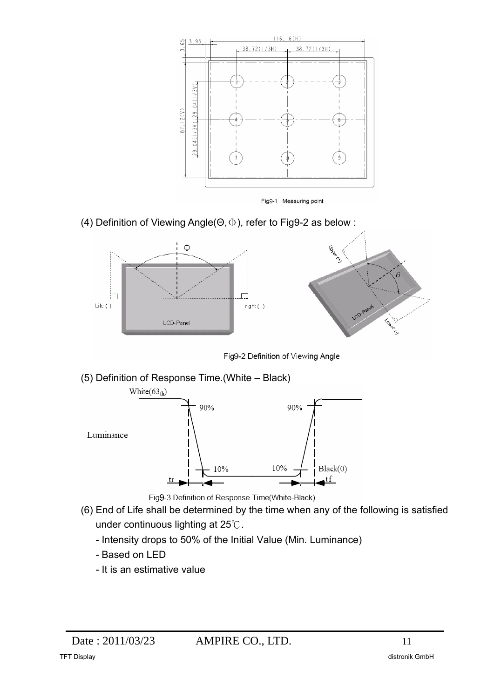

Fig9-1 Measuring point

(4) Definition of Viewing Angle(Θ,Φ), refer to Fig9-2 as below :



Fig9-2 Definition of Viewing Angle

(5) Definition of Response Time.(White – Black)



- Fig9-3 Definition of Response Time(White-Black)
- (6) End of Life shall be determined by the time when any of the following is satisfied under continuous lighting at 25℃.
	- Intensity drops to 50% of the Initial Value (Min. Luminance)
	- Based on LED
	- It is an estimative value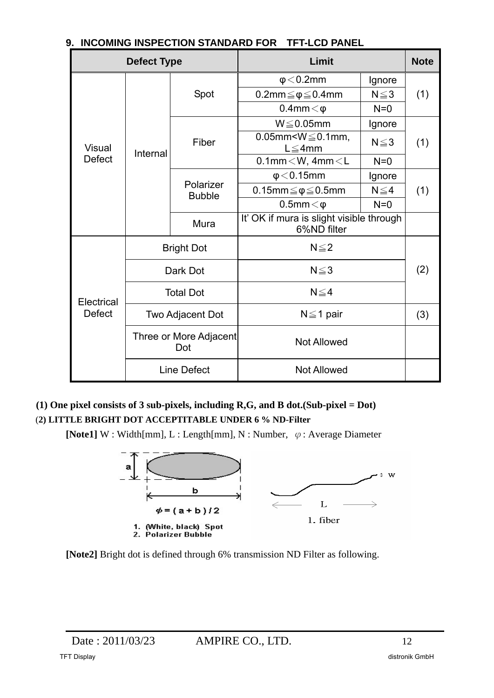| ווט ו שורשותו ט ווטו ובט ונאון טאווועטוו |                               |                            |                                                         |            |             |
|------------------------------------------|-------------------------------|----------------------------|---------------------------------------------------------|------------|-------------|
| <b>Defect Type</b>                       |                               |                            | Limit                                                   |            | <b>Note</b> |
| <b>Visual</b><br><b>Defect</b>           | Internal                      | Spot                       | $\phi$ < 0.2mm                                          | Ignore     | (1)         |
|                                          |                               |                            | $0.2$ mm $\leq \phi \leq 0.4$ mm                        | $N \leq 3$ |             |
|                                          |                               |                            | $0.4$ mm $<$ $\varphi$                                  | $N=0$      |             |
|                                          |                               | Fiber                      | $W \leq 0.05$ mm                                        | Ignore     | (1)         |
|                                          |                               |                            | 0.05mm < $W \le 0.1$ mm,<br>$L \leq 4$ mm               | $N \leq 3$ |             |
|                                          |                               |                            | $0.1$ mm $<$ W, 4mm $<$ L                               | $N=0$      |             |
|                                          |                               | Polarizer<br><b>Bubble</b> | $\phi$ < 0.15mm                                         | Ignore     | (1)         |
|                                          |                               |                            | 0.15mm $\leq \phi \leq 0.5$ mm                          | $N \leq 4$ |             |
|                                          |                               |                            | $0.5$ mm $<$ $\varphi$                                  | $N=0$      |             |
|                                          |                               | Mura                       | It' OK if mura is slight visible through<br>6%ND filter |            |             |
| Electrical<br><b>Defect</b>              | <b>Bright Dot</b>             |                            | $N \leq 2$                                              |            |             |
|                                          | Dark Dot                      |                            | $N \leq 3$                                              |            | (2)         |
|                                          | <b>Total Dot</b>              |                            | $N \leq 4$                                              |            |             |
|                                          | Two Adjacent Dot              |                            | $N \leq 1$ pair                                         |            | (3)         |
|                                          | Three or More Adjacent<br>Dot |                            | <b>Not Allowed</b>                                      |            |             |
|                                          | <b>Line Defect</b>            |                            | <b>Not Allowed</b>                                      |            |             |

## **9. INCOMING INSPECTION STANDARD FOR TET-LCD PANEL**

**(1) One pixel consists of 3 sub-pixels, including R,G, and B dot.(Sub-pixel = Dot)** 

## (**2) LITTLE BRIGHT DOT ACCEPTITABLE UNDER 6 % ND-Filter**

**[Note1]** W : Width[mm], L : Length[mm], N : Number, φ: Average Diameter



**[Note2]** Bright dot is defined through 6% transmission ND Filter as following.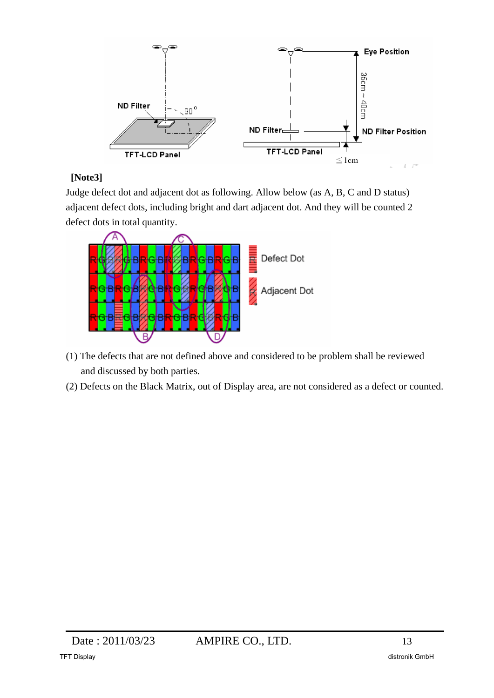

## **[Note3]**

Judge defect dot and adjacent dot as following. Allow below (as A, B, C and D status) adjacent defect dots, including bright and dart adjacent dot. And they will be counted 2 defect dots in total quantity.



- (1) The defects that are not defined above and considered to be problem shall be reviewed and discussed by both parties.
- (2) Defects on the Black Matrix, out of Display area, are not considered as a defect or counted.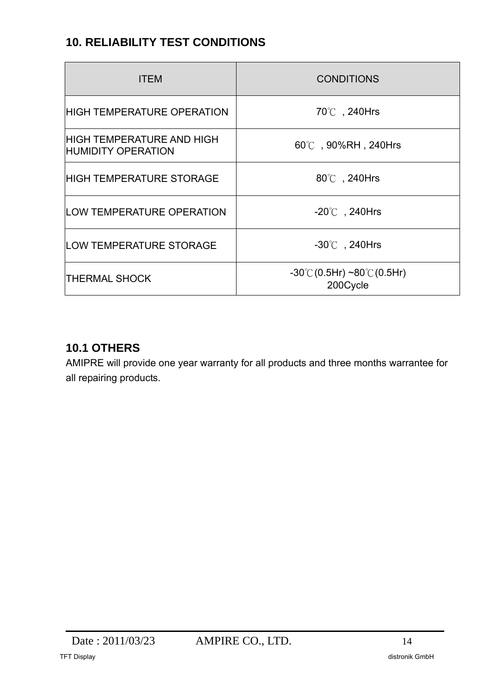# **10. RELIABILITY TEST CONDITIONS**

| <b>ITEM</b>                                                   | <b>CONDITIONS</b>                                                 |  |
|---------------------------------------------------------------|-------------------------------------------------------------------|--|
| <b>HIGH TEMPERATURE OPERATION</b>                             | 70℃, 240Hrs                                                       |  |
| <b>HIGH TEMPERATURE AND HIGH</b><br><b>HUMIDITY OPERATION</b> | $60^{\circ}$ , 90%RH, 240Hrs                                      |  |
| <b>HIGH TEMPERATURE STORAGE</b>                               | 80℃, 240Hrs                                                       |  |
| <b>LOW TEMPERATURE OPERATION</b>                              | $-20^{\circ}$ , 240Hrs                                            |  |
| <b>LOW TEMPERATURE STORAGE</b>                                | $-30^{\circ}$ , 240Hrs                                            |  |
| <b>THERMAL SHOCK</b>                                          | $-30^{\circ}$ C $(0.5Hr) \sim 80^{\circ}$ C $(0.5Hr)$<br>200Cycle |  |

## **10.1 OTHERS**

AMIPRE will provide one year warranty for all products and three months warrantee for all repairing products.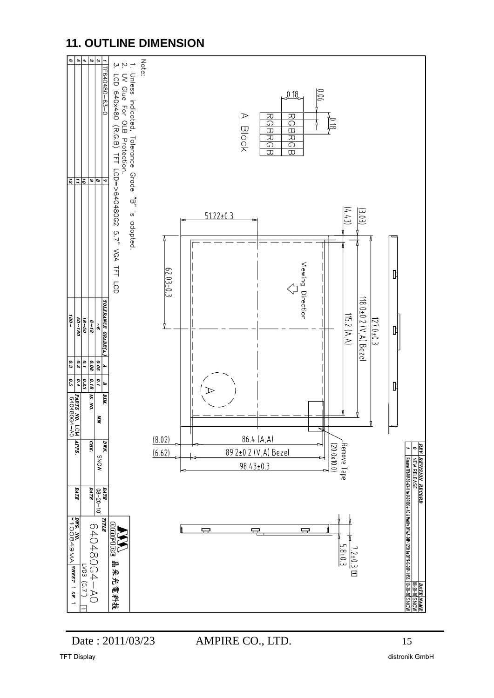## **11. OUTLINE DIMENSION**